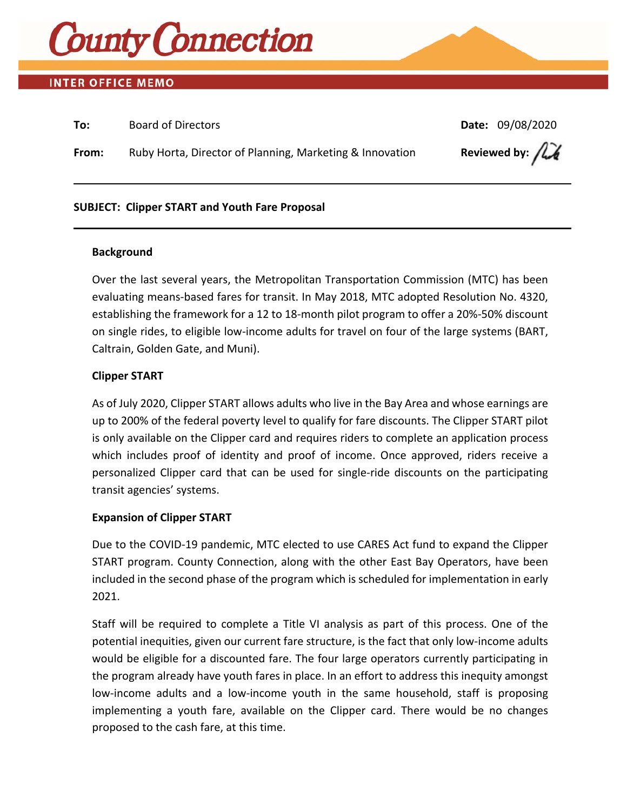

# **INTER OFFICE MEMO**

| To:   | <b>Board of Directors</b>                                | Date: 09/08/2020                     |
|-------|----------------------------------------------------------|--------------------------------------|
| From: | Ruby Horta, Director of Planning, Marketing & Innovation | Reviewed by: $\int \mathcal{L} \phi$ |

### **SUBJECT: Clipper START and Youth Fare Proposal**

#### **Background**

Over the last several years, the Metropolitan Transportation Commission (MTC) has been evaluating means‐based fares for transit. In May 2018, MTC adopted Resolution No. 4320, establishing the framework for a 12 to 18‐month pilot program to offer a 20%‐50% discount on single rides, to eligible low‐income adults for travel on four of the large systems (BART, Caltrain, Golden Gate, and Muni).

### **Clipper START**

As of July 2020, Clipper START allows adults who live in the Bay Area and whose earnings are up to 200% of the federal poverty level to qualify for fare discounts. The Clipper START pilot is only available on the Clipper card and requires riders to complete an application process which includes proof of identity and proof of income. Once approved, riders receive a personalized Clipper card that can be used for single‐ride discounts on the participating transit agencies' systems.

### **Expansion of Clipper START**

Due to the COVID‐19 pandemic, MTC elected to use CARES Act fund to expand the Clipper START program. County Connection, along with the other East Bay Operators, have been included in the second phase of the program which is scheduled for implementation in early 2021.

Staff will be required to complete a Title VI analysis as part of this process. One of the potential inequities, given our current fare structure, is the fact that only low‐income adults would be eligible for a discounted fare. The four large operators currently participating in the program already have youth fares in place. In an effort to address this inequity amongst low-income adults and a low-income youth in the same household, staff is proposing implementing a youth fare, available on the Clipper card. There would be no changes proposed to the cash fare, at this time.